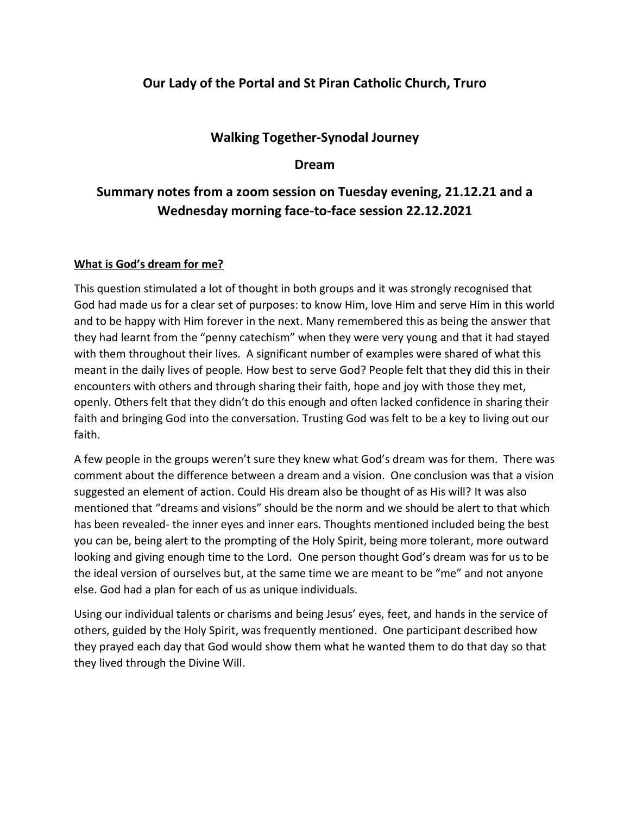## **Our Lady of the Portal and St Piran Catholic Church, Truro**

## **Walking Together-Synodal Journey**

## **Dream**

# **Summary notes from a zoom session on Tuesday evening, 21.12.21 and a Wednesday morning face-to-face session 22.12.2021**

### **What is God's dream for me?**

This question stimulated a lot of thought in both groups and it was strongly recognised that God had made us for a clear set of purposes: to know Him, love Him and serve Him in this world and to be happy with Him forever in the next. Many remembered this as being the answer that they had learnt from the "penny catechism" when they were very young and that it had stayed with them throughout their lives. A significant number of examples were shared of what this meant in the daily lives of people. How best to serve God? People felt that they did this in their encounters with others and through sharing their faith, hope and joy with those they met, openly. Others felt that they didn't do this enough and often lacked confidence in sharing their faith and bringing God into the conversation. Trusting God was felt to be a key to living out our faith.

A few people in the groups weren't sure they knew what God's dream was for them. There was comment about the difference between a dream and a vision. One conclusion was that a vision suggested an element of action. Could His dream also be thought of as His will? It was also mentioned that "dreams and visions" should be the norm and we should be alert to that which has been revealed- the inner eyes and inner ears. Thoughts mentioned included being the best you can be, being alert to the prompting of the Holy Spirit, being more tolerant, more outward looking and giving enough time to the Lord. One person thought God's dream was for us to be the ideal version of ourselves but, at the same time we are meant to be "me" and not anyone else. God had a plan for each of us as unique individuals.

Using our individual talents or charisms and being Jesus' eyes, feet, and hands in the service of others, guided by the Holy Spirit, was frequently mentioned. One participant described how they prayed each day that God would show them what he wanted them to do that day so that they lived through the Divine Will.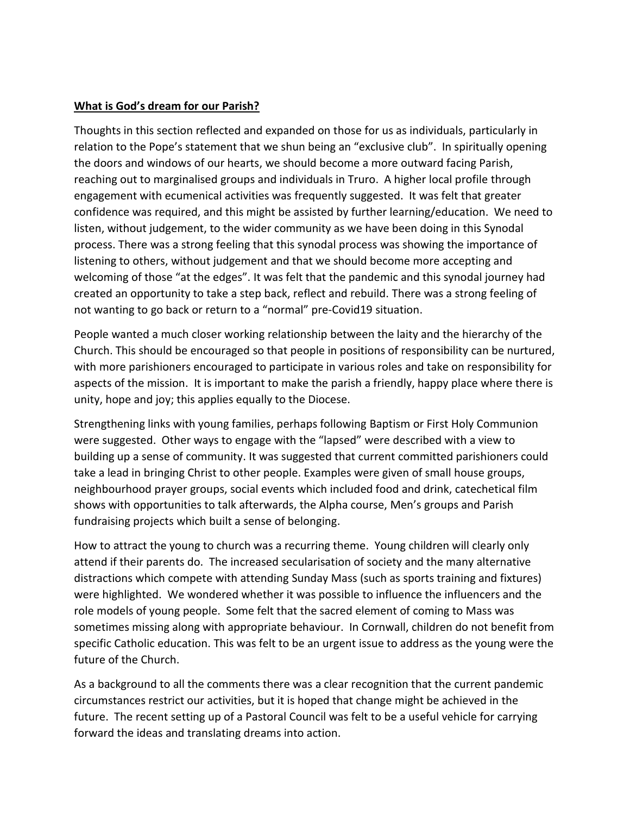#### **What is God's dream for our Parish?**

Thoughts in this section reflected and expanded on those for us as individuals, particularly in relation to the Pope's statement that we shun being an "exclusive club". In spiritually opening the doors and windows of our hearts, we should become a more outward facing Parish, reaching out to marginalised groups and individuals in Truro. A higher local profile through engagement with ecumenical activities was frequently suggested. It was felt that greater confidence was required, and this might be assisted by further learning/education. We need to listen, without judgement, to the wider community as we have been doing in this Synodal process. There was a strong feeling that this synodal process was showing the importance of listening to others, without judgement and that we should become more accepting and welcoming of those "at the edges". It was felt that the pandemic and this synodal journey had created an opportunity to take a step back, reflect and rebuild. There was a strong feeling of not wanting to go back or return to a "normal" pre-Covid19 situation.

People wanted a much closer working relationship between the laity and the hierarchy of the Church. This should be encouraged so that people in positions of responsibility can be nurtured, with more parishioners encouraged to participate in various roles and take on responsibility for aspects of the mission. It is important to make the parish a friendly, happy place where there is unity, hope and joy; this applies equally to the Diocese.

Strengthening links with young families, perhaps following Baptism or First Holy Communion were suggested. Other ways to engage with the "lapsed" were described with a view to building up a sense of community. It was suggested that current committed parishioners could take a lead in bringing Christ to other people. Examples were given of small house groups, neighbourhood prayer groups, social events which included food and drink, catechetical film shows with opportunities to talk afterwards, the Alpha course, Men's groups and Parish fundraising projects which built a sense of belonging.

How to attract the young to church was a recurring theme. Young children will clearly only attend if their parents do. The increased secularisation of society and the many alternative distractions which compete with attending Sunday Mass (such as sports training and fixtures) were highlighted. We wondered whether it was possible to influence the influencers and the role models of young people. Some felt that the sacred element of coming to Mass was sometimes missing along with appropriate behaviour. In Cornwall, children do not benefit from specific Catholic education. This was felt to be an urgent issue to address as the young were the future of the Church.

As a background to all the comments there was a clear recognition that the current pandemic circumstances restrict our activities, but it is hoped that change might be achieved in the future. The recent setting up of a Pastoral Council was felt to be a useful vehicle for carrying forward the ideas and translating dreams into action.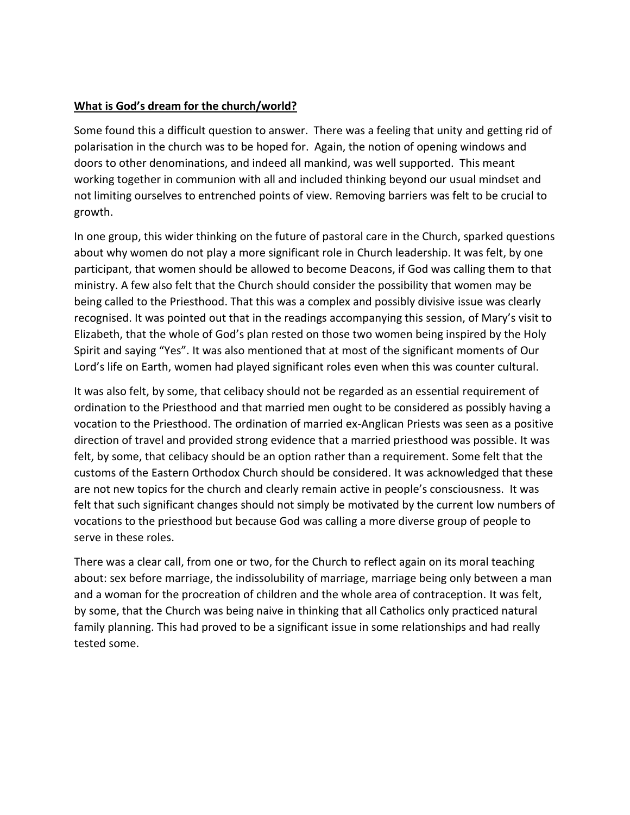#### **What is God's dream for the church/world?**

Some found this a difficult question to answer. There was a feeling that unity and getting rid of polarisation in the church was to be hoped for. Again, the notion of opening windows and doors to other denominations, and indeed all mankind, was well supported. This meant working together in communion with all and included thinking beyond our usual mindset and not limiting ourselves to entrenched points of view. Removing barriers was felt to be crucial to growth.

In one group, this wider thinking on the future of pastoral care in the Church, sparked questions about why women do not play a more significant role in Church leadership. It was felt, by one participant, that women should be allowed to become Deacons, if God was calling them to that ministry. A few also felt that the Church should consider the possibility that women may be being called to the Priesthood. That this was a complex and possibly divisive issue was clearly recognised. It was pointed out that in the readings accompanying this session, of Mary's visit to Elizabeth, that the whole of God's plan rested on those two women being inspired by the Holy Spirit and saying "Yes". It was also mentioned that at most of the significant moments of Our Lord's life on Earth, women had played significant roles even when this was counter cultural.

It was also felt, by some, that celibacy should not be regarded as an essential requirement of ordination to the Priesthood and that married men ought to be considered as possibly having a vocation to the Priesthood. The ordination of married ex-Anglican Priests was seen as a positive direction of travel and provided strong evidence that a married priesthood was possible. It was felt, by some, that celibacy should be an option rather than a requirement. Some felt that the customs of the Eastern Orthodox Church should be considered. It was acknowledged that these are not new topics for the church and clearly remain active in people's consciousness. It was felt that such significant changes should not simply be motivated by the current low numbers of vocations to the priesthood but because God was calling a more diverse group of people to serve in these roles.

There was a clear call, from one or two, for the Church to reflect again on its moral teaching about: sex before marriage, the indissolubility of marriage, marriage being only between a man and a woman for the procreation of children and the whole area of contraception. It was felt, by some, that the Church was being naive in thinking that all Catholics only practiced natural family planning. This had proved to be a significant issue in some relationships and had really tested some.